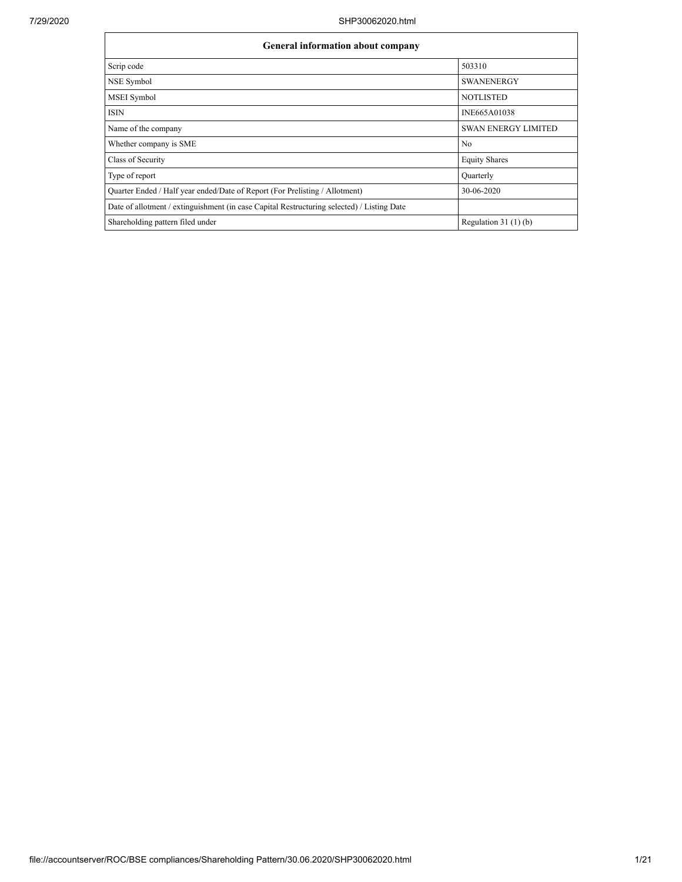Ē

| <b>General information about company</b>                                                   |                            |  |  |  |  |  |  |
|--------------------------------------------------------------------------------------------|----------------------------|--|--|--|--|--|--|
| Scrip code                                                                                 | 503310                     |  |  |  |  |  |  |
| NSE Symbol                                                                                 | <b>SWANENERGY</b>          |  |  |  |  |  |  |
| <b>MSEI</b> Symbol                                                                         | <b>NOTLISTED</b>           |  |  |  |  |  |  |
| <b>ISIN</b>                                                                                | INE665A01038               |  |  |  |  |  |  |
| Name of the company                                                                        | <b>SWAN ENERGY LIMITED</b> |  |  |  |  |  |  |
| Whether company is SME                                                                     | No                         |  |  |  |  |  |  |
| Class of Security                                                                          | <b>Equity Shares</b>       |  |  |  |  |  |  |
| Type of report                                                                             | Quarterly                  |  |  |  |  |  |  |
| Quarter Ended / Half year ended/Date of Report (For Prelisting / Allotment)                | 30-06-2020                 |  |  |  |  |  |  |
| Date of allotment / extinguishment (in case Capital Restructuring selected) / Listing Date |                            |  |  |  |  |  |  |
| Shareholding pattern filed under                                                           | Regulation $31(1)(b)$      |  |  |  |  |  |  |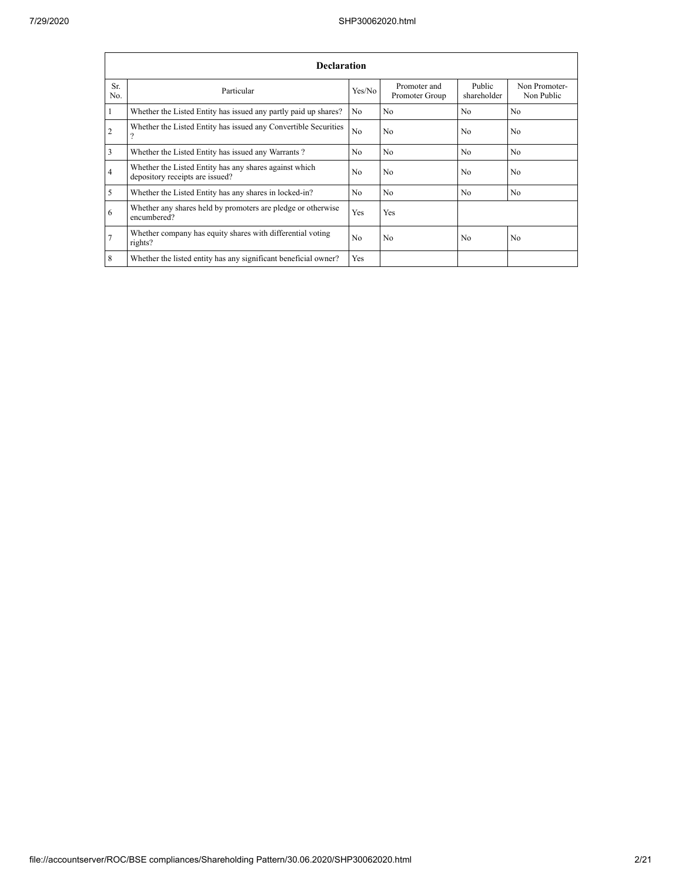|                 | <b>Declaration</b>                                                                        |                |                                |                       |                             |  |  |  |  |  |  |  |
|-----------------|-------------------------------------------------------------------------------------------|----------------|--------------------------------|-----------------------|-----------------------------|--|--|--|--|--|--|--|
| Sr.<br>No.      | Particular                                                                                | Yes/No         | Promoter and<br>Promoter Group | Public<br>shareholder | Non Promoter-<br>Non Public |  |  |  |  |  |  |  |
| -1              | Whether the Listed Entity has issued any partly paid up shares?                           | No.            | No                             | N <sub>0</sub>        | N <sub>0</sub>              |  |  |  |  |  |  |  |
| $\overline{2}$  | Whether the Listed Entity has issued any Convertible Securities<br>2                      | No             | No                             | N <sub>0</sub>        | N <sub>o</sub>              |  |  |  |  |  |  |  |
| 3               | Whether the Listed Entity has issued any Warrants?                                        | No             | No                             | N <sub>0</sub>        | N <sub>o</sub>              |  |  |  |  |  |  |  |
| $\overline{4}$  | Whether the Listed Entity has any shares against which<br>depository receipts are issued? | N <sub>0</sub> | No                             | N <sub>0</sub>        | N <sub>0</sub>              |  |  |  |  |  |  |  |
| 5               | Whether the Listed Entity has any shares in locked-in?                                    | N <sub>o</sub> | No                             | N <sub>0</sub>        | N <sub>0</sub>              |  |  |  |  |  |  |  |
| 6               | Whether any shares held by promoters are pledge or otherwise<br>encumbered?               | Yes            | Yes                            |                       |                             |  |  |  |  |  |  |  |
| $7\phantom{.0}$ | Whether company has equity shares with differential voting<br>rights?                     | N <sub>0</sub> | N <sub>0</sub>                 | N <sub>0</sub>        | N <sub>0</sub>              |  |  |  |  |  |  |  |
| 8               | Whether the listed entity has any significant beneficial owner?                           | <b>Yes</b>     |                                |                       |                             |  |  |  |  |  |  |  |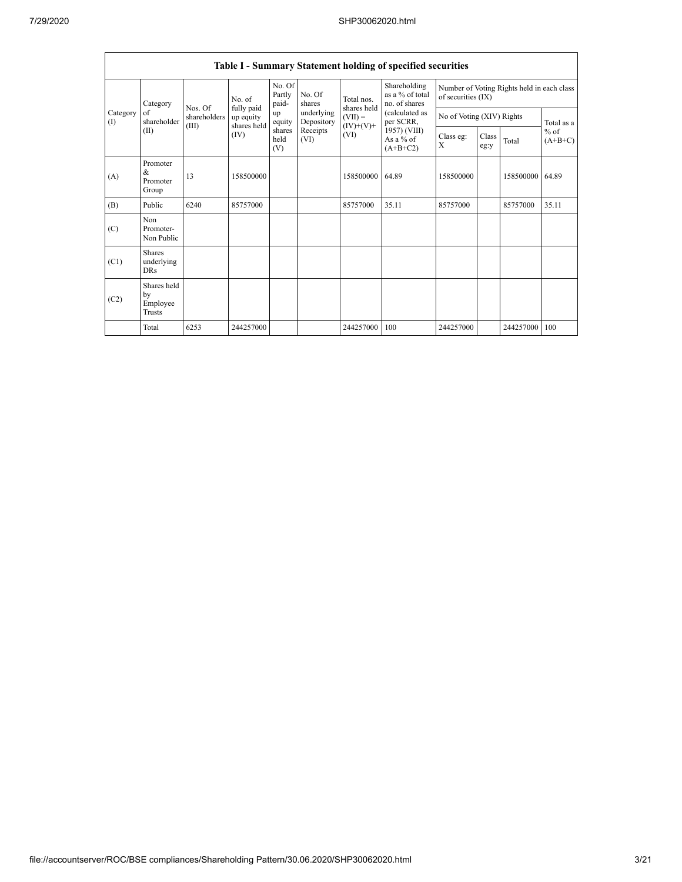|                   | Table I - Summary Statement holding of specified securities |                                  |                                        |                           |                          |                                         |                                                  |                                                                  |               |           |                                   |  |
|-------------------|-------------------------------------------------------------|----------------------------------|----------------------------------------|---------------------------|--------------------------|-----------------------------------------|--------------------------------------------------|------------------------------------------------------------------|---------------|-----------|-----------------------------------|--|
|                   | Category                                                    |                                  | No. of                                 | No. Of<br>Partly<br>paid- | No. Of<br>shares         | Total nos.                              | Shareholding<br>as a % of total<br>no. of shares | Number of Voting Rights held in each class<br>of securities (IX) |               |           |                                   |  |
| Category<br>$($ I | of<br>shareholder                                           | Nos. Of<br>shareholders<br>(III) | fully paid<br>up equity<br>shares held | up<br>equity              | underlying<br>Depository | shares held<br>$(VII) =$<br>$(IV)+(V)+$ | (calculated as<br>per SCRR,                      | No of Voting (XIV) Rights                                        |               |           | Total as a<br>$%$ of<br>$(A+B+C)$ |  |
|                   | (II)                                                        |                                  | (IV)                                   | shares<br>held<br>(V)     | Receipts<br>(VI)         | (VI)                                    | 1957) (VIII)<br>As a $%$ of<br>$(A+B+C2)$        | Class eg:<br>X                                                   | Class<br>eg:y | Total     |                                   |  |
| (A)               | Promoter<br>&<br>Promoter<br>Group                          | 13                               | 158500000                              |                           |                          | 158500000                               | 64.89                                            | 158500000                                                        |               | 158500000 | 64.89                             |  |
| (B)               | Public                                                      | 6240                             | 85757000                               |                           |                          | 85757000                                | 35.11                                            | 85757000                                                         |               | 85757000  | 35.11                             |  |
| (C)               | Non<br>Promoter-<br>Non Public                              |                                  |                                        |                           |                          |                                         |                                                  |                                                                  |               |           |                                   |  |
| (C1)              | <b>Shares</b><br>underlying<br><b>DRs</b>                   |                                  |                                        |                           |                          |                                         |                                                  |                                                                  |               |           |                                   |  |
| (C2)              | Shares held<br>by<br>Employee<br>Trusts                     |                                  |                                        |                           |                          |                                         |                                                  |                                                                  |               |           |                                   |  |
|                   | Total                                                       | 6253                             | 244257000                              |                           |                          | 244257000                               | 100                                              | 244257000                                                        |               | 244257000 | 100                               |  |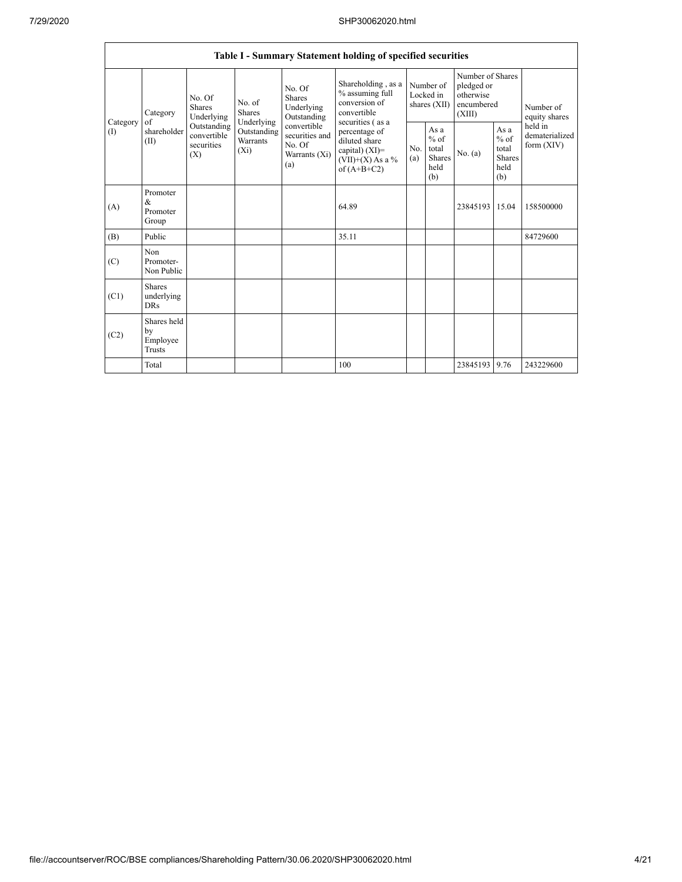|                 | Table I - Summary Statement holding of specified securities |                                                                                                     |                                       |                                                                 |                                                                                           |                                          |                                                  |                                                                     |                                                         |                                           |  |  |
|-----------------|-------------------------------------------------------------|-----------------------------------------------------------------------------------------------------|---------------------------------------|-----------------------------------------------------------------|-------------------------------------------------------------------------------------------|------------------------------------------|--------------------------------------------------|---------------------------------------------------------------------|---------------------------------------------------------|-------------------------------------------|--|--|
| Category<br>(1) | Category<br>of<br>shareholder<br>(II)                       | No. Of<br><b>Shares</b><br>Underlying<br>Outstanding<br>convertible<br>securities<br>$(X_i)$<br>(X) | No. of<br><b>Shares</b><br>Underlying | No. Of<br><b>Shares</b><br>Underlying<br>Outstanding            | Shareholding, as a<br>% assuming full<br>conversion of<br>convertible<br>securities (as a | Number of<br>Locked in<br>shares $(XII)$ |                                                  | Number of Shares<br>pledged or<br>otherwise<br>encumbered<br>(XIII) |                                                         | Number of<br>equity shares                |  |  |
|                 |                                                             |                                                                                                     | Outstanding<br>Warrants               | convertible<br>securities and<br>No. Of<br>Warrants (Xi)<br>(a) | percentage of<br>diluted share<br>capital) (XI)=<br>$(VII)+(X)$ As a %<br>of $(A+B+C2)$   | No.<br>(a)                               | As a<br>$%$ of<br>total<br>Shares<br>held<br>(b) | No. (a)                                                             | As a<br>$%$ of<br>total<br><b>Shares</b><br>held<br>(b) | held in<br>dematerialized<br>form $(XIV)$ |  |  |
| (A)             | Promoter<br>$\&$<br>Promoter<br>Group                       |                                                                                                     |                                       |                                                                 | 64.89                                                                                     |                                          |                                                  | 23845193 15.04                                                      |                                                         | 158500000                                 |  |  |
| (B)             | Public                                                      |                                                                                                     |                                       |                                                                 | 35.11                                                                                     |                                          |                                                  |                                                                     |                                                         | 84729600                                  |  |  |
| (C)             | Non<br>Promoter-<br>Non Public                              |                                                                                                     |                                       |                                                                 |                                                                                           |                                          |                                                  |                                                                     |                                                         |                                           |  |  |
| (C1)            | Shares<br>underlying<br><b>DRs</b>                          |                                                                                                     |                                       |                                                                 |                                                                                           |                                          |                                                  |                                                                     |                                                         |                                           |  |  |
| (C2)            | Shares held<br>by<br>Employee<br><b>Trusts</b>              |                                                                                                     |                                       |                                                                 |                                                                                           |                                          |                                                  |                                                                     |                                                         |                                           |  |  |
|                 | Total                                                       |                                                                                                     |                                       |                                                                 | 100                                                                                       |                                          |                                                  | 23845193 9.76                                                       |                                                         | 243229600                                 |  |  |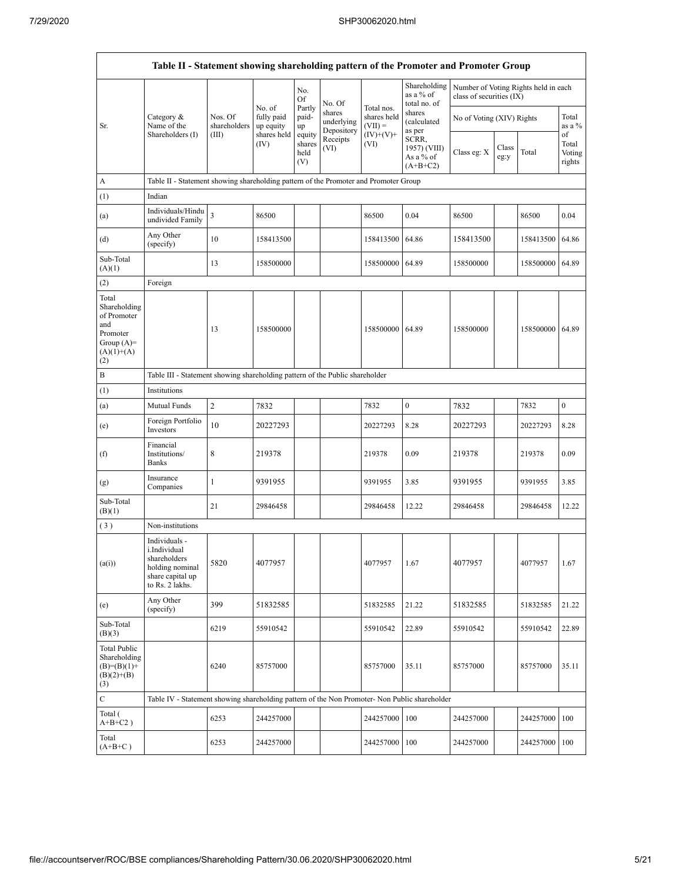|                                                                                                | Table II - Statement showing shareholding pattern of the Promoter and Promoter Group                    |                                  |                                   |                                 |                                    |                                        |                                                                                     |                                                                  |               |           |                                 |  |
|------------------------------------------------------------------------------------------------|---------------------------------------------------------------------------------------------------------|----------------------------------|-----------------------------------|---------------------------------|------------------------------------|----------------------------------------|-------------------------------------------------------------------------------------|------------------------------------------------------------------|---------------|-----------|---------------------------------|--|
|                                                                                                | Category &<br>Name of the                                                                               |                                  |                                   | No.<br>Of                       | No. Of                             |                                        | Shareholding<br>as a $%$ of<br>total no. of                                         | Number of Voting Rights held in each<br>class of securities (IX) |               |           |                                 |  |
| Sr.                                                                                            |                                                                                                         | Nos. Of<br>shareholders<br>(III) | No. of<br>fully paid<br>up equity | Partly<br>paid-<br>up           | shares<br>underlying<br>Depository | Total nos.<br>shares held<br>$(VII) =$ | shares<br>(calculated<br>as per<br>SCRR,<br>1957) (VIII)<br>As a % of<br>$(A+B+C2)$ | No of Voting (XIV) Rights                                        |               |           | Total<br>as a %                 |  |
|                                                                                                | Shareholders (I)                                                                                        |                                  | shares held<br>(IV)               | equity<br>shares<br>held<br>(V) | Receipts<br>(VI)                   | $(IV)+(V)+$<br>(VI)                    |                                                                                     | Class eg: X                                                      | Class<br>eg:y | Total     | of<br>Total<br>Voting<br>rights |  |
| A                                                                                              | Table II - Statement showing shareholding pattern of the Promoter and Promoter Group                    |                                  |                                   |                                 |                                    |                                        |                                                                                     |                                                                  |               |           |                                 |  |
| (1)                                                                                            | Indian                                                                                                  |                                  |                                   |                                 |                                    |                                        |                                                                                     |                                                                  |               |           |                                 |  |
| (a)                                                                                            | Individuals/Hindu<br>undivided Family                                                                   | $\overline{\mathbf{3}}$          | 86500                             |                                 |                                    | 86500                                  | 0.04                                                                                | 86500                                                            |               | 86500     | 0.04                            |  |
| (d)                                                                                            | Any Other<br>(specify)                                                                                  | 10                               | 158413500                         |                                 |                                    | 158413500                              | 64.86                                                                               | 158413500                                                        |               | 158413500 | 64.86                           |  |
| Sub-Total<br>(A)(1)                                                                            |                                                                                                         | 13                               | 158500000                         |                                 |                                    | 158500000 64.89                        |                                                                                     | 158500000                                                        |               | 158500000 | 64.89                           |  |
| (2)                                                                                            | Foreign                                                                                                 |                                  |                                   |                                 |                                    |                                        |                                                                                     |                                                                  |               |           |                                 |  |
| Total<br>Shareholding<br>of Promoter<br>and<br>Promoter<br>Group $(A)=$<br>$(A)(1)+(A)$<br>(2) |                                                                                                         | 13                               | 158500000                         |                                 |                                    | 158500000 64.89                        |                                                                                     | 158500000                                                        |               | 158500000 | 64.89                           |  |
| $\, {\bf B}$                                                                                   | Table III - Statement showing shareholding pattern of the Public shareholder                            |                                  |                                   |                                 |                                    |                                        |                                                                                     |                                                                  |               |           |                                 |  |
| (1)                                                                                            | Institutions                                                                                            |                                  |                                   |                                 |                                    |                                        |                                                                                     |                                                                  |               |           |                                 |  |
| (a)                                                                                            | Mutual Funds                                                                                            | $\sqrt{2}$                       | 7832                              |                                 |                                    | 7832                                   | $\boldsymbol{0}$                                                                    | 7832                                                             |               | 7832      | $\boldsymbol{0}$                |  |
| (e)                                                                                            | Foreign Portfolio<br>Investors                                                                          | 10                               | 20227293                          |                                 |                                    | 20227293                               | 8.28                                                                                | 20227293                                                         |               | 20227293  | 8.28                            |  |
| (f)                                                                                            | Financial<br>Institutions/<br>Banks                                                                     | 8                                | 219378                            |                                 |                                    | 219378                                 | 0.09                                                                                | 219378                                                           |               | 219378    | 0.09                            |  |
| (g)                                                                                            | Insurance<br>Companies                                                                                  | $\mathbf{1}$                     | 9391955                           |                                 |                                    | 9391955                                | 3.85                                                                                | 9391955                                                          |               | 9391955   | 3.85                            |  |
| Sub-Total<br>(B)(1)                                                                            |                                                                                                         | 21                               | 29846458                          |                                 |                                    | 29846458                               | 12.22                                                                               | 29846458                                                         |               | 29846458  | 12.22                           |  |
| (3)                                                                                            | Non-institutions                                                                                        |                                  |                                   |                                 |                                    |                                        |                                                                                     |                                                                  |               |           |                                 |  |
| (a(i))                                                                                         | Individuals -<br>i.Individual<br>shareholders<br>holding nominal<br>share capital up<br>to Rs. 2 lakhs. | 5820                             | 4077957                           |                                 |                                    | 4077957                                | 1.67                                                                                | 4077957                                                          |               | 4077957   | 1.67                            |  |
| (e)                                                                                            | Any Other<br>(specify)                                                                                  | 399                              | 51832585                          |                                 |                                    | 51832585                               | 21.22                                                                               | 51832585                                                         |               | 51832585  | 21.22                           |  |
| Sub-Total<br>(B)(3)                                                                            |                                                                                                         | 6219                             | 55910542                          |                                 |                                    | 55910542                               | 22.89                                                                               | 55910542                                                         |               | 55910542  | 22.89                           |  |
| <b>Total Public</b><br>Shareholding<br>$(B)=(B)(1)+$<br>$(B)(2)+(B)$<br>(3)                    |                                                                                                         | 6240                             | 85757000                          |                                 |                                    | 85757000                               | 35.11                                                                               | 85757000                                                         |               | 85757000  | 35.11                           |  |
| C                                                                                              | Table IV - Statement showing shareholding pattern of the Non Promoter- Non Public shareholder           |                                  |                                   |                                 |                                    |                                        |                                                                                     |                                                                  |               |           |                                 |  |
| Total (<br>$A+B+C2$ )                                                                          |                                                                                                         | 6253                             | 244257000                         |                                 |                                    | 244257000                              | 100                                                                                 | 244257000                                                        |               | 244257000 | 100                             |  |
| Total<br>$(A+B+C)$                                                                             |                                                                                                         | 6253                             | 244257000                         |                                 |                                    | 244257000                              | 100                                                                                 | 244257000                                                        |               | 244257000 | 100                             |  |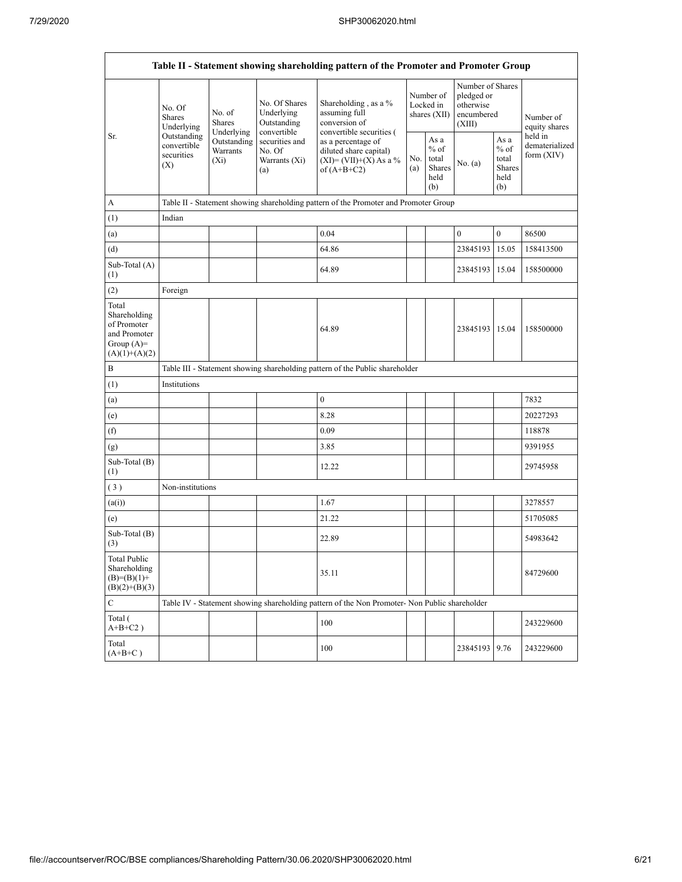|                                                                                         | Table II - Statement showing shareholding pattern of the Promoter and Promoter Group                                                                     |             |                                                           |                                                                                                          |  |                                                  |                                                                     |                                                         |                                         |  |  |  |
|-----------------------------------------------------------------------------------------|----------------------------------------------------------------------------------------------------------------------------------------------------------|-------------|-----------------------------------------------------------|----------------------------------------------------------------------------------------------------------|--|--------------------------------------------------|---------------------------------------------------------------------|---------------------------------------------------------|-----------------------------------------|--|--|--|
|                                                                                         | No. Of<br>No. of<br><b>Shares</b><br><b>Shares</b><br>Underlying<br>Underlying<br>Outstanding<br>convertible<br>Warrants<br>securities<br>$(X_i)$<br>(X) |             | No. Of Shares<br>Underlying<br>Outstanding<br>convertible | Shareholding, as a %<br>assuming full<br>conversion of<br>convertible securities (                       |  | Number of<br>Locked in<br>shares $(XII)$         | Number of Shares<br>pledged or<br>otherwise<br>encumbered<br>(XIII) |                                                         | Number of<br>equity shares              |  |  |  |
| Sr.                                                                                     |                                                                                                                                                          | Outstanding | securities and<br>No. Of<br>Warrants (Xi)<br>(a)          | as a percentage of<br>diluted share capital)<br>No.<br>$(XI) = (VII)+(X) As a %$<br>(a)<br>of $(A+B+C2)$ |  | As a<br>$%$ of<br>total<br>Shares<br>held<br>(b) | No. (a)                                                             | As a<br>$%$ of<br>total<br><b>Shares</b><br>held<br>(b) | held in<br>dematerialized<br>form (XIV) |  |  |  |
| А                                                                                       |                                                                                                                                                          |             |                                                           | Table II - Statement showing shareholding pattern of the Promoter and Promoter Group                     |  |                                                  |                                                                     |                                                         |                                         |  |  |  |
| (1)                                                                                     | Indian                                                                                                                                                   |             |                                                           |                                                                                                          |  |                                                  |                                                                     |                                                         |                                         |  |  |  |
| (a)                                                                                     |                                                                                                                                                          |             |                                                           | 0.04                                                                                                     |  |                                                  | $\mathbf{0}$                                                        | $\boldsymbol{0}$                                        | 86500                                   |  |  |  |
| (d)                                                                                     |                                                                                                                                                          |             |                                                           | 64.86                                                                                                    |  |                                                  | 23845193                                                            | 15.05                                                   | 158413500                               |  |  |  |
| Sub-Total (A)<br>(1)                                                                    |                                                                                                                                                          |             |                                                           | 64.89                                                                                                    |  |                                                  | 23845193 15.04                                                      |                                                         | 158500000                               |  |  |  |
| (2)                                                                                     | Foreign                                                                                                                                                  |             |                                                           |                                                                                                          |  |                                                  |                                                                     |                                                         |                                         |  |  |  |
| Total<br>Shareholding<br>of Promoter<br>and Promoter<br>Group $(A)=$<br>$(A)(1)+(A)(2)$ |                                                                                                                                                          |             |                                                           | 64.89                                                                                                    |  |                                                  | 23845193 15.04                                                      |                                                         | 158500000                               |  |  |  |
| B                                                                                       |                                                                                                                                                          |             |                                                           | Table III - Statement showing shareholding pattern of the Public shareholder                             |  |                                                  |                                                                     |                                                         |                                         |  |  |  |
| (1)                                                                                     | Institutions                                                                                                                                             |             |                                                           |                                                                                                          |  |                                                  |                                                                     |                                                         |                                         |  |  |  |
| (a)                                                                                     |                                                                                                                                                          |             |                                                           | $\boldsymbol{0}$                                                                                         |  |                                                  |                                                                     |                                                         | 7832                                    |  |  |  |
| (e)                                                                                     |                                                                                                                                                          |             |                                                           | 8.28                                                                                                     |  |                                                  |                                                                     |                                                         | 20227293                                |  |  |  |
| (f)                                                                                     |                                                                                                                                                          |             |                                                           | 0.09                                                                                                     |  |                                                  |                                                                     |                                                         | 118878                                  |  |  |  |
| (g)                                                                                     |                                                                                                                                                          |             |                                                           | 3.85                                                                                                     |  |                                                  |                                                                     |                                                         | 9391955                                 |  |  |  |
| Sub-Total (B)<br>(1)                                                                    |                                                                                                                                                          |             |                                                           | 12.22                                                                                                    |  |                                                  |                                                                     |                                                         | 29745958                                |  |  |  |
| (3)                                                                                     | Non-institutions                                                                                                                                         |             |                                                           |                                                                                                          |  |                                                  |                                                                     |                                                         |                                         |  |  |  |
| (a(i))                                                                                  |                                                                                                                                                          |             |                                                           | 1.67                                                                                                     |  |                                                  |                                                                     |                                                         | 3278557                                 |  |  |  |
| (e)                                                                                     |                                                                                                                                                          |             |                                                           | 21.22                                                                                                    |  |                                                  |                                                                     |                                                         | 51705085                                |  |  |  |
| Sub-Total (B)<br>(3)                                                                    |                                                                                                                                                          |             |                                                           | 22.89                                                                                                    |  |                                                  |                                                                     |                                                         | 54983642                                |  |  |  |
| Total Public<br>Shareholding<br>$(B)=(B)(1)+$<br>$(B)(2)+(B)(3)$                        |                                                                                                                                                          |             |                                                           | 35.11                                                                                                    |  |                                                  |                                                                     |                                                         | 84729600                                |  |  |  |
| C                                                                                       |                                                                                                                                                          |             |                                                           | Table IV - Statement showing shareholding pattern of the Non Promoter- Non Public shareholder            |  |                                                  |                                                                     |                                                         |                                         |  |  |  |
| Total (<br>$A+B+C2$ )                                                                   |                                                                                                                                                          |             |                                                           | 100                                                                                                      |  |                                                  |                                                                     |                                                         | 243229600                               |  |  |  |
| Total<br>$(A+B+C)$                                                                      |                                                                                                                                                          |             |                                                           | 100                                                                                                      |  |                                                  | 23845193 9.76                                                       |                                                         | 243229600                               |  |  |  |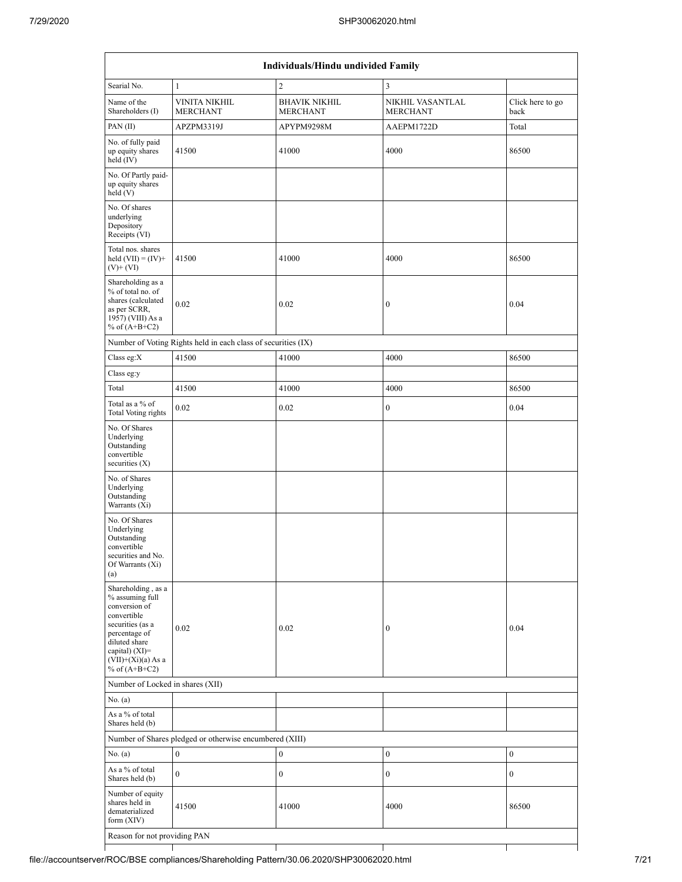| Individuals/Hindu undivided Family                                                                                                                                                       |                                                               |                                         |                                     |                          |  |  |  |  |  |
|------------------------------------------------------------------------------------------------------------------------------------------------------------------------------------------|---------------------------------------------------------------|-----------------------------------------|-------------------------------------|--------------------------|--|--|--|--|--|
| Searial No.                                                                                                                                                                              | $\mathbf{1}$                                                  | $\overline{c}$                          | $\overline{3}$                      |                          |  |  |  |  |  |
| Name of the<br>Shareholders (I)                                                                                                                                                          | <b>VINITA NIKHIL</b><br><b>MERCHANT</b>                       | <b>BHAVIK NIKHIL</b><br><b>MERCHANT</b> | NIKHIL VASANTLAL<br><b>MERCHANT</b> | Click here to go<br>back |  |  |  |  |  |
| PAN (II)                                                                                                                                                                                 | APZPM3319J                                                    | APYPM9298M                              | AAEPM1722D                          | Total                    |  |  |  |  |  |
| No. of fully paid<br>up equity shares<br>held $(IV)$                                                                                                                                     | 41500                                                         | 41000                                   | 4000                                | 86500                    |  |  |  |  |  |
| No. Of Partly paid-<br>up equity shares<br>held(V)                                                                                                                                       |                                                               |                                         |                                     |                          |  |  |  |  |  |
| No. Of shares<br>underlying<br>Depository<br>Receipts (VI)                                                                                                                               |                                                               |                                         |                                     |                          |  |  |  |  |  |
| Total nos. shares<br>held $(VII) = (IV) +$<br>$(V)$ + $(VI)$                                                                                                                             | 41500                                                         | 41000                                   | 4000                                | 86500                    |  |  |  |  |  |
| Shareholding as a<br>% of total no. of<br>shares (calculated<br>as per SCRR,<br>1957) (VIII) As a<br>% of $(A+B+C2)$                                                                     | 0.02                                                          | 0.02                                    | $\boldsymbol{0}$                    | 0.04                     |  |  |  |  |  |
|                                                                                                                                                                                          | Number of Voting Rights held in each class of securities (IX) |                                         |                                     |                          |  |  |  |  |  |
| Class eg:X                                                                                                                                                                               | 41500                                                         | 41000                                   | 4000                                | 86500                    |  |  |  |  |  |
| Class eg:y                                                                                                                                                                               |                                                               |                                         |                                     |                          |  |  |  |  |  |
| Total                                                                                                                                                                                    | 41500                                                         | 41000                                   | 4000                                | 86500                    |  |  |  |  |  |
| Total as a % of<br><b>Total Voting rights</b>                                                                                                                                            | 0.02                                                          | 0.02                                    | $\boldsymbol{0}$                    | 0.04                     |  |  |  |  |  |
| No. Of Shares<br>Underlying<br>Outstanding<br>convertible<br>securities $(X)$                                                                                                            |                                                               |                                         |                                     |                          |  |  |  |  |  |
| No. of Shares<br>Underlying<br>Outstanding<br>Warrants (Xi)                                                                                                                              |                                                               |                                         |                                     |                          |  |  |  |  |  |
| No. Of Shares<br>Underlying<br>Outstanding<br>convertible<br>securities and No.<br>Of Warrants (Xi)<br>(a)                                                                               |                                                               |                                         |                                     |                          |  |  |  |  |  |
| Shareholding, as a<br>% assuming full<br>conversion of<br>convertible<br>securities (as a<br>percentage of<br>diluted share<br>capital) (XI)=<br>$(VII)+(Xi)(a) As a$<br>% of $(A+B+C2)$ | 0.02                                                          | 0.02                                    | $\boldsymbol{0}$                    | 0.04                     |  |  |  |  |  |
| Number of Locked in shares (XII)                                                                                                                                                         |                                                               |                                         |                                     |                          |  |  |  |  |  |
| No. (a)                                                                                                                                                                                  |                                                               |                                         |                                     |                          |  |  |  |  |  |
| As a % of total<br>Shares held (b)                                                                                                                                                       |                                                               |                                         |                                     |                          |  |  |  |  |  |
|                                                                                                                                                                                          | Number of Shares pledged or otherwise encumbered (XIII)       |                                         |                                     |                          |  |  |  |  |  |
| No. (a)                                                                                                                                                                                  | $\boldsymbol{0}$                                              | $\boldsymbol{0}$                        | $\boldsymbol{0}$                    | $\mathbf{0}$             |  |  |  |  |  |
| As a % of total<br>Shares held (b)                                                                                                                                                       | $\boldsymbol{0}$                                              | $\boldsymbol{0}$                        | $\boldsymbol{0}$                    | $\boldsymbol{0}$         |  |  |  |  |  |
| Number of equity<br>shares held in<br>dematerialized<br>form $(XIV)$                                                                                                                     | 41500                                                         | 41000                                   | 4000                                | 86500                    |  |  |  |  |  |
| Reason for not providing PAN                                                                                                                                                             |                                                               |                                         |                                     |                          |  |  |  |  |  |
|                                                                                                                                                                                          |                                                               |                                         |                                     |                          |  |  |  |  |  |

a k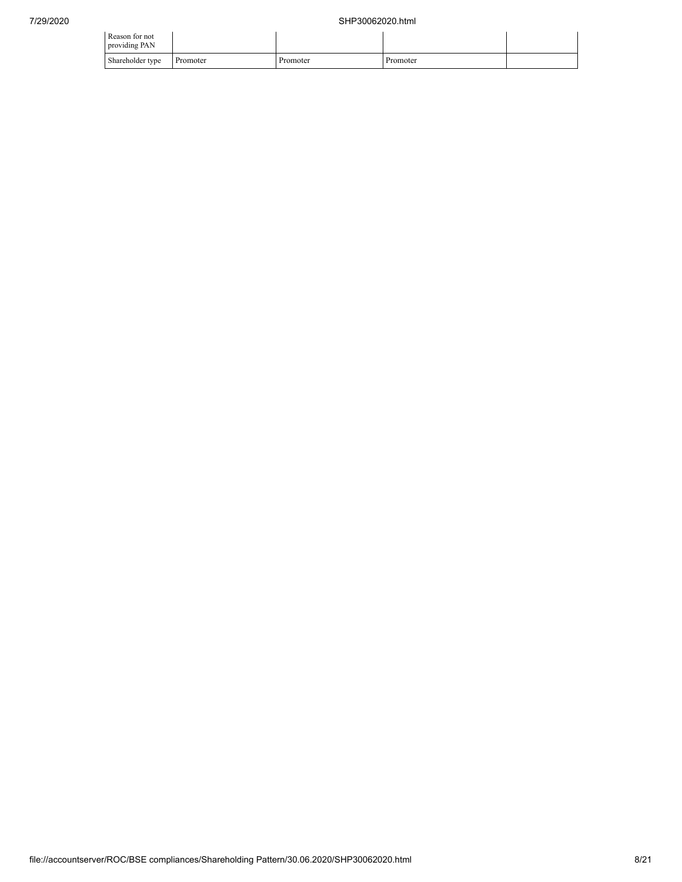| Reason for not<br>providing PAN |          |          |          |  |
|---------------------------------|----------|----------|----------|--|
| Shareholder type                | Promoter | Promoter | Promoter |  |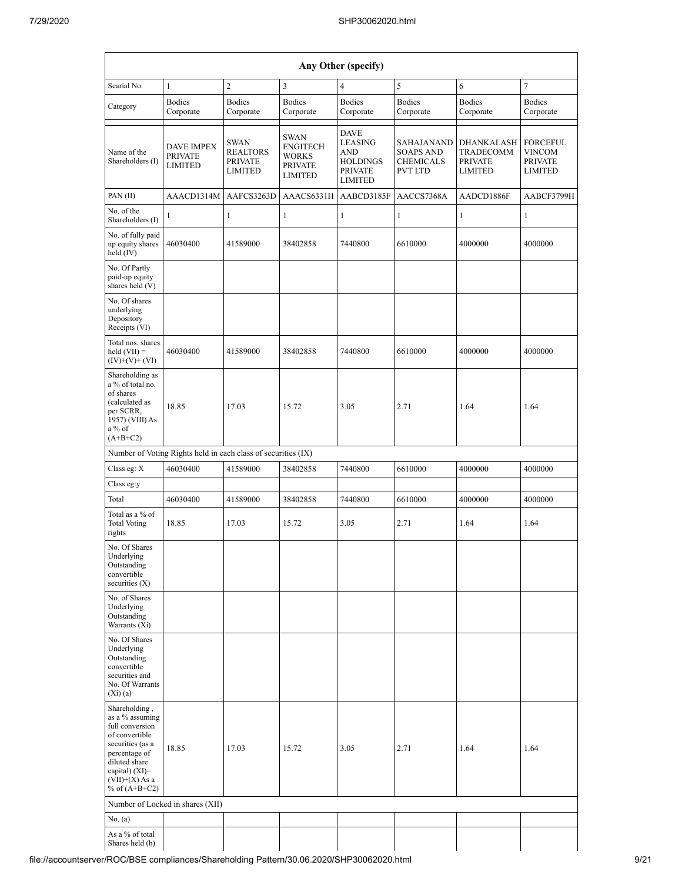| Any Other (specify)                                                                                                                                                                  |                                                               |                                                                    |                                                                                    |                                                                                             |                                                                      |                                                             |                                                                      |  |  |  |
|--------------------------------------------------------------------------------------------------------------------------------------------------------------------------------------|---------------------------------------------------------------|--------------------------------------------------------------------|------------------------------------------------------------------------------------|---------------------------------------------------------------------------------------------|----------------------------------------------------------------------|-------------------------------------------------------------|----------------------------------------------------------------------|--|--|--|
| Searial No.                                                                                                                                                                          | $\mathbf{1}$                                                  | $\overline{c}$                                                     | $\overline{3}$                                                                     | $\overline{4}$                                                                              | 5                                                                    | 6                                                           | $\tau$                                                               |  |  |  |
| Category                                                                                                                                                                             | <b>Bodies</b><br>Corporate                                    | <b>Bodies</b><br>Corporate                                         | <b>Bodies</b><br>Corporate                                                         | <b>Bodies</b><br>Corporate                                                                  | <b>Bodies</b><br>Corporate                                           | <b>Bodies</b><br>Corporate                                  | <b>Bodies</b><br>Corporate                                           |  |  |  |
| Name of the<br>Shareholders (I)                                                                                                                                                      | <b>DAVE IMPEX</b><br><b>PRIVATE</b><br><b>LIMITED</b>         | <b>SWAN</b><br><b>REALTORS</b><br><b>PRIVATE</b><br><b>LIMITED</b> | <b>SWAN</b><br><b>ENGITECH</b><br><b>WORKS</b><br><b>PRIVATE</b><br><b>LIMITED</b> | <b>DAVE</b><br>LEASING<br><b>AND</b><br><b>HOLDINGS</b><br><b>PRIVATE</b><br><b>LIMITED</b> | SAHAJANAND<br><b>SOAPS AND</b><br><b>CHEMICALS</b><br><b>PVT LTD</b> | DHANKALASH<br><b>TRADECOMM</b><br><b>PRIVATE</b><br>LIMITED | <b>FORCEFUL</b><br><b>VINCOM</b><br><b>PRIVATE</b><br><b>LIMITED</b> |  |  |  |
| PAN (II)                                                                                                                                                                             | AAACD1314M                                                    | AAFCS3263D                                                         | AAACS6331H                                                                         | AABCD3185F                                                                                  | AACCS7368A                                                           | AADCD1886F                                                  | AABCF3799H                                                           |  |  |  |
| No. of the<br>Shareholders (I)                                                                                                                                                       | $\mathbf{1}$                                                  | $\mathbf{1}$                                                       | $\mathbf{1}$                                                                       | $\mathbf{1}$                                                                                | $\mathbf{1}$                                                         | $\mathbf{1}$                                                | $\mathbf{1}$                                                         |  |  |  |
| No. of fully paid<br>up equity shares<br>held $(IV)$                                                                                                                                 | 46030400                                                      | 41589000                                                           | 38402858                                                                           | 7440800                                                                                     | 6610000                                                              | 4000000                                                     | 4000000                                                              |  |  |  |
| No. Of Partly<br>paid-up equity<br>shares held (V)                                                                                                                                   |                                                               |                                                                    |                                                                                    |                                                                                             |                                                                      |                                                             |                                                                      |  |  |  |
| No. Of shares<br>underlying<br>Depository<br>Receipts (VI)                                                                                                                           |                                                               |                                                                    |                                                                                    |                                                                                             |                                                                      |                                                             |                                                                      |  |  |  |
| Total nos. shares<br>held $(VII) =$<br>$(IV)+(V)+(VI)$                                                                                                                               | 46030400                                                      | 41589000                                                           | 38402858                                                                           | 7440800                                                                                     | 6610000                                                              | 4000000                                                     | 4000000                                                              |  |  |  |
| Shareholding as<br>a % of total no.<br>of shares<br>(calculated as<br>per SCRR,<br>1957) (VIII) As<br>a% of<br>$(A+B+C2)$                                                            | 18.85                                                         | 17.03                                                              | 15.72                                                                              | 3.05                                                                                        | 2.71                                                                 | 1.64                                                        | 1.64                                                                 |  |  |  |
|                                                                                                                                                                                      | Number of Voting Rights held in each class of securities (IX) |                                                                    |                                                                                    |                                                                                             |                                                                      |                                                             |                                                                      |  |  |  |
| Class eg: X                                                                                                                                                                          | 46030400                                                      | 41589000                                                           | 38402858                                                                           | 7440800                                                                                     | 6610000                                                              | 4000000                                                     | 4000000                                                              |  |  |  |
| Class eg:y                                                                                                                                                                           |                                                               |                                                                    |                                                                                    |                                                                                             |                                                                      |                                                             |                                                                      |  |  |  |
| Total                                                                                                                                                                                | 46030400                                                      | 41589000                                                           | 38402858                                                                           | 7440800                                                                                     | 6610000                                                              | 4000000                                                     | 4000000                                                              |  |  |  |
| Total as a % of<br><b>Total Voting</b><br>rights                                                                                                                                     | 18.85                                                         | 17.03                                                              | 15.72                                                                              | 3.05                                                                                        | 2.71                                                                 | 1.64                                                        | 1.64                                                                 |  |  |  |
| No. Of Shares<br>Underlying<br>Outstanding<br>convertible<br>securities $(X)$                                                                                                        |                                                               |                                                                    |                                                                                    |                                                                                             |                                                                      |                                                             |                                                                      |  |  |  |
| No. of Shares<br>Underlying<br>Outstanding<br>Warrants (Xi)                                                                                                                          |                                                               |                                                                    |                                                                                    |                                                                                             |                                                                      |                                                             |                                                                      |  |  |  |
| No. Of Shares<br>Underlying<br>Outstanding<br>convertible<br>securities and<br>No. Of Warrants<br>$(X_i)(a)$                                                                         |                                                               |                                                                    |                                                                                    |                                                                                             |                                                                      |                                                             |                                                                      |  |  |  |
| Shareholding,<br>as a % assuming<br>full conversion<br>of convertible<br>securities (as a<br>percentage of<br>diluted share<br>capital) (XI)=<br>$(VII)+(X)$ As a<br>% of $(A+B+C2)$ | 18.85                                                         | 17.03                                                              | 15.72                                                                              | 3.05                                                                                        | 2.71                                                                 | 1.64                                                        | 1.64                                                                 |  |  |  |
|                                                                                                                                                                                      | Number of Locked in shares (XII)                              |                                                                    |                                                                                    |                                                                                             |                                                                      |                                                             |                                                                      |  |  |  |
| No. $(a)$                                                                                                                                                                            |                                                               |                                                                    |                                                                                    |                                                                                             |                                                                      |                                                             |                                                                      |  |  |  |
| As a % of total<br>Shares held (b)                                                                                                                                                   |                                                               |                                                                    |                                                                                    |                                                                                             |                                                                      |                                                             |                                                                      |  |  |  |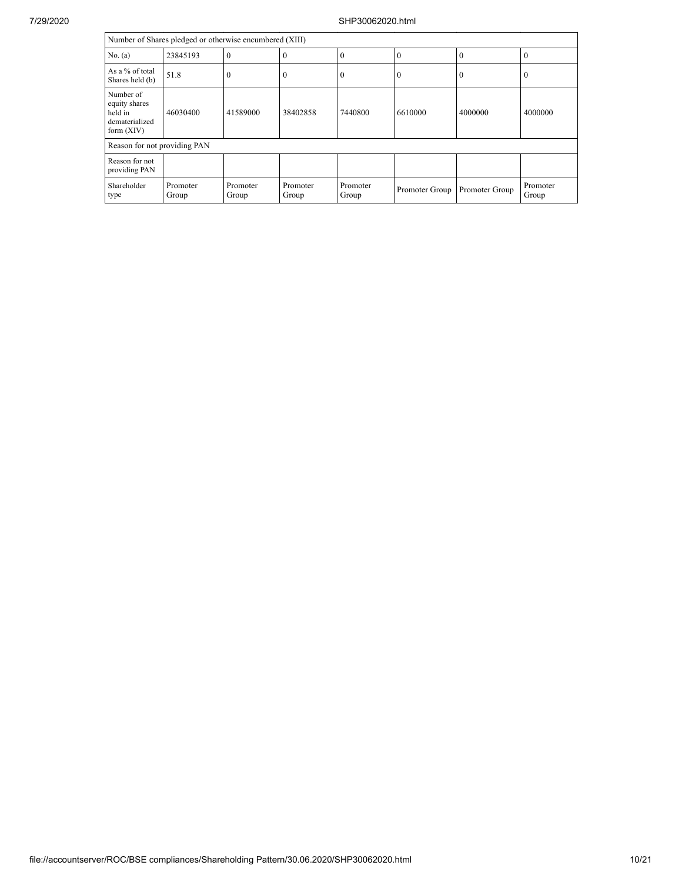| Number of Shares pledged or otherwise encumbered (XIII)                 |                   |                   |                   |                   |                  |                |                   |  |  |  |
|-------------------------------------------------------------------------|-------------------|-------------------|-------------------|-------------------|------------------|----------------|-------------------|--|--|--|
| No. (a)                                                                 | 23845193          | $\overline{0}$    | $\Omega$          | $\theta$          | $\theta$         | $\theta$       | $\theta$          |  |  |  |
| As a % of total<br>Shares held (b)                                      | 51.8              | $\theta$          | $\theta$          | $\overline{0}$    | $\boldsymbol{0}$ | 0              | $\theta$          |  |  |  |
| Number of<br>equity shares<br>held in<br>dematerialized<br>form $(XIV)$ | 46030400          | 41589000          | 38402858          | 7440800           | 6610000          | 4000000        | 4000000           |  |  |  |
| Reason for not providing PAN                                            |                   |                   |                   |                   |                  |                |                   |  |  |  |
| Reason for not<br>providing PAN                                         |                   |                   |                   |                   |                  |                |                   |  |  |  |
| Shareholder<br>type                                                     | Promoter<br>Group | Promoter<br>Group | Promoter<br>Group | Promoter<br>Group | Promoter Group   | Promoter Group | Promoter<br>Group |  |  |  |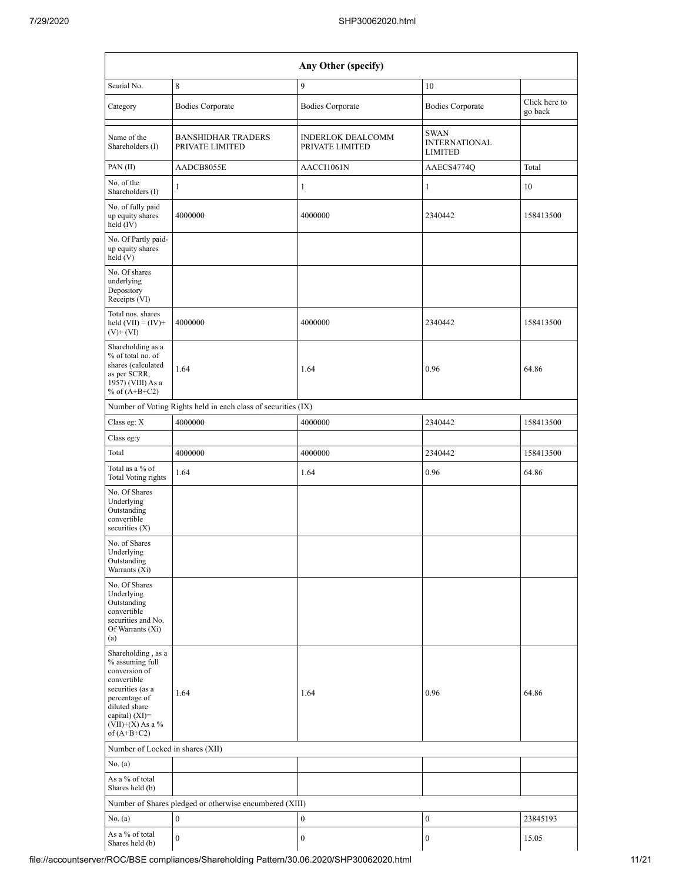| Any Other (specify)                                                                                                                                                                    |                                                         |                                             |                                                |                          |  |  |  |  |  |  |  |
|----------------------------------------------------------------------------------------------------------------------------------------------------------------------------------------|---------------------------------------------------------|---------------------------------------------|------------------------------------------------|--------------------------|--|--|--|--|--|--|--|
| Searial No.                                                                                                                                                                            | 8                                                       | 9                                           | 10                                             |                          |  |  |  |  |  |  |  |
| Category                                                                                                                                                                               | <b>Bodies Corporate</b>                                 | <b>Bodies Corporate</b>                     | <b>Bodies Corporate</b>                        | Click here to<br>go back |  |  |  |  |  |  |  |
| Name of the<br>Shareholders (I)                                                                                                                                                        | <b>BANSHIDHAR TRADERS</b><br>PRIVATE LIMITED            | <b>INDERLOK DEALCOMM</b><br>PRIVATE LIMITED | SWAN<br><b>INTERNATIONAL</b><br><b>LIMITED</b> |                          |  |  |  |  |  |  |  |
| PAN (II)                                                                                                                                                                               | AADCB8055E                                              | AACCI1061N                                  | AAECS4774Q                                     | Total                    |  |  |  |  |  |  |  |
| No. of the<br>Shareholders (I)                                                                                                                                                         | 1                                                       | 1                                           | $\mathbf{1}$                                   | 10                       |  |  |  |  |  |  |  |
| No. of fully paid<br>up equity shares<br>held (IV)                                                                                                                                     | 4000000                                                 | 4000000                                     | 2340442                                        | 158413500                |  |  |  |  |  |  |  |
| No. Of Partly paid-<br>up equity shares<br>held (V)                                                                                                                                    |                                                         |                                             |                                                |                          |  |  |  |  |  |  |  |
| No. Of shares<br>underlying<br>Depository<br>Receipts (VI)                                                                                                                             |                                                         |                                             |                                                |                          |  |  |  |  |  |  |  |
| Total nos. shares<br>held $(VII) = (IV) +$<br>$(V)$ + $(VI)$                                                                                                                           | 4000000                                                 | 4000000                                     | 2340442                                        | 158413500                |  |  |  |  |  |  |  |
| Shareholding as a<br>% of total no. of<br>shares (calculated<br>as per SCRR,<br>1957) (VIII) As a<br>% of $(A+B+C2)$                                                                   | 1.64                                                    | 1.64                                        | 0.96                                           | 64.86                    |  |  |  |  |  |  |  |
| Number of Voting Rights held in each class of securities (IX)                                                                                                                          |                                                         |                                             |                                                |                          |  |  |  |  |  |  |  |
| Class eg: X                                                                                                                                                                            | 4000000                                                 | 4000000                                     | 2340442                                        | 158413500                |  |  |  |  |  |  |  |
| Class eg:y                                                                                                                                                                             |                                                         |                                             |                                                |                          |  |  |  |  |  |  |  |
| Total                                                                                                                                                                                  | 4000000                                                 | 4000000                                     | 2340442                                        | 158413500                |  |  |  |  |  |  |  |
| Total as a % of<br>Total Voting rights                                                                                                                                                 | 1.64                                                    | 1.64                                        | 0.96                                           | 64.86                    |  |  |  |  |  |  |  |
| No. Of Shares<br>Underlying<br>Outstanding<br>convertible<br>securities $(X)$                                                                                                          |                                                         |                                             |                                                |                          |  |  |  |  |  |  |  |
| No. of Shares<br>Underlying<br>Outstanding<br>Warrants (Xi)                                                                                                                            |                                                         |                                             |                                                |                          |  |  |  |  |  |  |  |
| No. Of Shares<br>Underlying<br>Outstanding<br>convertible<br>securities and No.<br>Of Warrants (Xi)<br>(a)                                                                             |                                                         |                                             |                                                |                          |  |  |  |  |  |  |  |
| Shareholding, as a<br>% assuming full<br>conversion of<br>convertible<br>securities (as a<br>percentage of<br>diluted share<br>capital) $(XI)=$<br>$(VII)+(X)$ As a %<br>of $(A+B+C2)$ | 1.64                                                    | 1.64                                        | 0.96                                           | 64.86                    |  |  |  |  |  |  |  |
| Number of Locked in shares (XII)                                                                                                                                                       |                                                         |                                             |                                                |                          |  |  |  |  |  |  |  |
| No. (a)                                                                                                                                                                                |                                                         |                                             |                                                |                          |  |  |  |  |  |  |  |
| As a % of total<br>Shares held (b)                                                                                                                                                     |                                                         |                                             |                                                |                          |  |  |  |  |  |  |  |
|                                                                                                                                                                                        | Number of Shares pledged or otherwise encumbered (XIII) |                                             |                                                |                          |  |  |  |  |  |  |  |
| No. (a)                                                                                                                                                                                | $\boldsymbol{0}$                                        | $\boldsymbol{0}$                            | 0                                              | 23845193                 |  |  |  |  |  |  |  |
| As a % of total<br>Shares held (b)                                                                                                                                                     | $\boldsymbol{0}$                                        | $\boldsymbol{0}$                            | 0                                              | 15.05                    |  |  |  |  |  |  |  |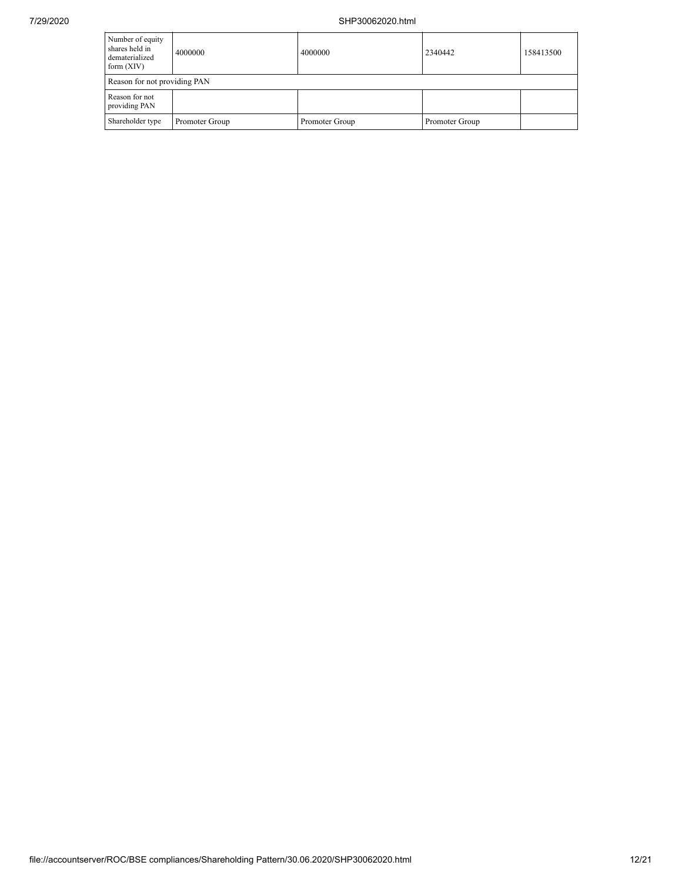| Number of equity<br>shares held in<br>dematerialized<br>form $(XIV)$ | 4000000        | 4000000        | 2340442        | 158413500 |  |  |  |  |  |
|----------------------------------------------------------------------|----------------|----------------|----------------|-----------|--|--|--|--|--|
| Reason for not providing PAN                                         |                |                |                |           |  |  |  |  |  |
| Reason for not<br>providing PAN                                      |                |                |                |           |  |  |  |  |  |
| Shareholder type                                                     | Promoter Group | Promoter Group | Promoter Group |           |  |  |  |  |  |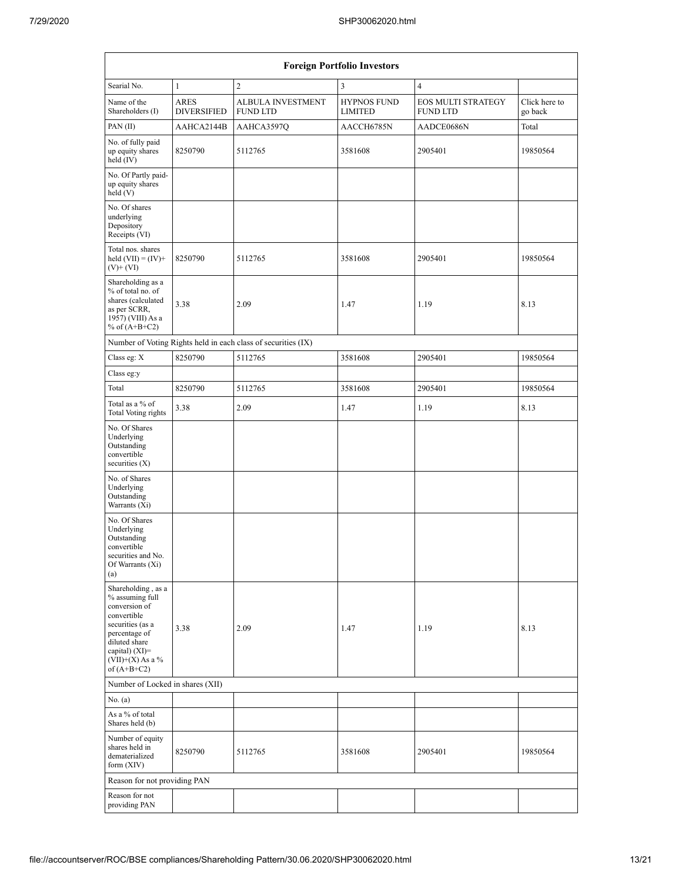| <b>Foreign Portfolio Investors</b>                                                                                                                                                           |                                   |                                                               |                                      |                                              |                          |  |  |  |  |  |  |  |
|----------------------------------------------------------------------------------------------------------------------------------------------------------------------------------------------|-----------------------------------|---------------------------------------------------------------|--------------------------------------|----------------------------------------------|--------------------------|--|--|--|--|--|--|--|
| Searial No.                                                                                                                                                                                  | $\mathbf{1}$                      | $\overline{2}$                                                | 3                                    | $\overline{4}$                               |                          |  |  |  |  |  |  |  |
| Name of the<br>Shareholders (I)                                                                                                                                                              | <b>ARES</b><br><b>DIVERSIFIED</b> | <b>ALBULA INVESTMENT</b><br><b>FUND LTD</b>                   | <b>HYPNOS FUND</b><br><b>LIMITED</b> | <b>EOS MULTI STRATEGY</b><br><b>FUND LTD</b> | Click here to<br>go back |  |  |  |  |  |  |  |
| PAN (II)                                                                                                                                                                                     | AAHCA2144B                        | AAHCA3597Q                                                    | AACCH6785N                           | AADCE0686N                                   | Total                    |  |  |  |  |  |  |  |
| No. of fully paid<br>up equity shares<br>held $(IV)$                                                                                                                                         | 8250790                           | 5112765                                                       | 3581608                              | 2905401                                      | 19850564                 |  |  |  |  |  |  |  |
| No. Of Partly paid-<br>up equity shares<br>held(V)                                                                                                                                           |                                   |                                                               |                                      |                                              |                          |  |  |  |  |  |  |  |
| No. Of shares<br>underlying<br>Depository<br>Receipts (VI)                                                                                                                                   |                                   |                                                               |                                      |                                              |                          |  |  |  |  |  |  |  |
| Total nos. shares<br>held $(VII) = (IV) +$<br>$(V)$ + $(VI)$                                                                                                                                 | 8250790                           | 5112765                                                       | 3581608                              | 2905401                                      | 19850564                 |  |  |  |  |  |  |  |
| Shareholding as a<br>% of total no. of<br>shares (calculated<br>as per SCRR,<br>1957) (VIII) As a<br>% of $(A+B+C2)$                                                                         | 3.38                              | 2.09                                                          | 1.47                                 | 1.19                                         | 8.13                     |  |  |  |  |  |  |  |
|                                                                                                                                                                                              |                                   | Number of Voting Rights held in each class of securities (IX) |                                      |                                              |                          |  |  |  |  |  |  |  |
| Class eg: X                                                                                                                                                                                  | 8250790                           | 5112765                                                       | 3581608                              | 2905401                                      | 19850564                 |  |  |  |  |  |  |  |
| Class eg:y                                                                                                                                                                                   |                                   |                                                               |                                      |                                              |                          |  |  |  |  |  |  |  |
| Total                                                                                                                                                                                        | 8250790                           | 5112765                                                       | 3581608                              | 2905401                                      | 19850564                 |  |  |  |  |  |  |  |
| Total as a % of<br><b>Total Voting rights</b>                                                                                                                                                | 3.38                              | 2.09                                                          | 1.47                                 | 1.19                                         | 8.13                     |  |  |  |  |  |  |  |
| No. Of Shares<br>Underlying<br>Outstanding<br>convertible<br>securities $(X)$                                                                                                                |                                   |                                                               |                                      |                                              |                          |  |  |  |  |  |  |  |
| No. of Shares<br>Underlying<br>Outstanding<br>Warrants (Xi)                                                                                                                                  |                                   |                                                               |                                      |                                              |                          |  |  |  |  |  |  |  |
| No. Of Shares<br>Underlying<br>Outstanding<br>convertible<br>securities and No.<br>Of Warrants (Xi)<br>(a)                                                                                   |                                   |                                                               |                                      |                                              |                          |  |  |  |  |  |  |  |
| Shareholding, as a<br>% assuming full<br>conversion of<br>convertible<br>securities (as a<br>3.38<br>percentage of<br>diluted share<br>capital) (XI)=<br>$(VII)+(X)$ As a %<br>of $(A+B+C2)$ |                                   | 2.09                                                          | 1.47                                 | 1.19                                         | 8.13                     |  |  |  |  |  |  |  |
| Number of Locked in shares (XII)                                                                                                                                                             |                                   |                                                               |                                      |                                              |                          |  |  |  |  |  |  |  |
| No. (a)                                                                                                                                                                                      |                                   |                                                               |                                      |                                              |                          |  |  |  |  |  |  |  |
| As a % of total<br>Shares held (b)                                                                                                                                                           |                                   |                                                               |                                      |                                              |                          |  |  |  |  |  |  |  |
| Number of equity<br>shares held in<br>8250790<br>dematerialized<br>form $(XIV)$                                                                                                              |                                   | 5112765                                                       | 3581608                              | 2905401                                      | 19850564                 |  |  |  |  |  |  |  |
| Reason for not providing PAN                                                                                                                                                                 |                                   |                                                               |                                      |                                              |                          |  |  |  |  |  |  |  |
| Reason for not<br>providing PAN                                                                                                                                                              |                                   |                                                               |                                      |                                              |                          |  |  |  |  |  |  |  |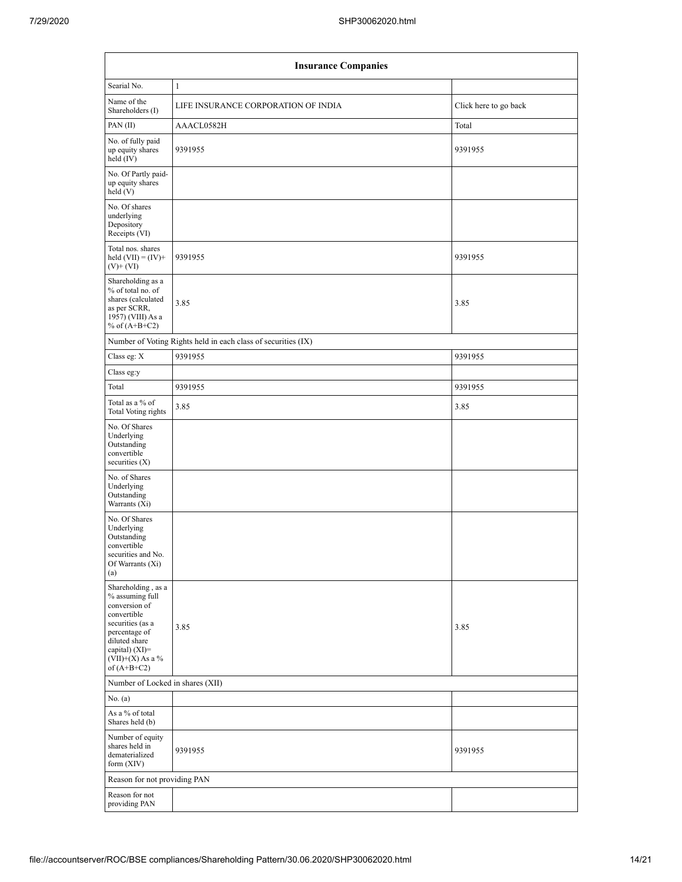| <b>Insurance Companies</b>                                                                                                                                                             |                                                               |                       |  |  |  |  |  |  |  |  |  |
|----------------------------------------------------------------------------------------------------------------------------------------------------------------------------------------|---------------------------------------------------------------|-----------------------|--|--|--|--|--|--|--|--|--|
| Searial No.                                                                                                                                                                            | $\mathbf{1}$                                                  |                       |  |  |  |  |  |  |  |  |  |
| Name of the<br>Shareholders (I)                                                                                                                                                        | LIFE INSURANCE CORPORATION OF INDIA                           | Click here to go back |  |  |  |  |  |  |  |  |  |
| PAN (II)                                                                                                                                                                               | AAACL0582H                                                    | Total                 |  |  |  |  |  |  |  |  |  |
| No. of fully paid<br>up equity shares<br>held (IV)                                                                                                                                     | 9391955                                                       | 9391955               |  |  |  |  |  |  |  |  |  |
| No. Of Partly paid-<br>up equity shares<br>held(V)                                                                                                                                     |                                                               |                       |  |  |  |  |  |  |  |  |  |
| No. Of shares<br>underlying<br>Depository<br>Receipts (VI)                                                                                                                             |                                                               |                       |  |  |  |  |  |  |  |  |  |
| Total nos. shares<br>held $(VII) = (IV) +$<br>$(V)$ + $(VI)$                                                                                                                           | 9391955                                                       | 9391955               |  |  |  |  |  |  |  |  |  |
| Shareholding as a<br>% of total no. of<br>shares (calculated<br>as per SCRR,<br>1957) (VIII) As a<br>% of $(A+B+C2)$                                                                   | 3.85                                                          | 3.85                  |  |  |  |  |  |  |  |  |  |
|                                                                                                                                                                                        | Number of Voting Rights held in each class of securities (IX) |                       |  |  |  |  |  |  |  |  |  |
| Class eg: X                                                                                                                                                                            | 9391955                                                       | 9391955               |  |  |  |  |  |  |  |  |  |
| Class eg:y                                                                                                                                                                             |                                                               |                       |  |  |  |  |  |  |  |  |  |
| Total                                                                                                                                                                                  | 9391955                                                       | 9391955               |  |  |  |  |  |  |  |  |  |
| Total as a % of<br>Total Voting rights                                                                                                                                                 | 3.85                                                          | 3.85                  |  |  |  |  |  |  |  |  |  |
| No. Of Shares<br>Underlying<br>Outstanding<br>convertible<br>securities $(X)$                                                                                                          |                                                               |                       |  |  |  |  |  |  |  |  |  |
| No. of Shares<br>Underlying<br>Outstanding<br>Warrants (Xi)                                                                                                                            |                                                               |                       |  |  |  |  |  |  |  |  |  |
| No. Of Shares<br>Underlying<br>Outstanding<br>convertible<br>securities and No.<br>Of Warrants (Xi)<br>(a)                                                                             |                                                               |                       |  |  |  |  |  |  |  |  |  |
| Shareholding, as a<br>% assuming full<br>conversion of<br>convertible<br>securities (as a<br>percentage of<br>diluted share<br>capital) $(XI)=$<br>$(VII)+(X)$ As a %<br>of $(A+B+C2)$ | 3.85                                                          | 3.85                  |  |  |  |  |  |  |  |  |  |
| Number of Locked in shares (XII)                                                                                                                                                       |                                                               |                       |  |  |  |  |  |  |  |  |  |
| No. (a)                                                                                                                                                                                |                                                               |                       |  |  |  |  |  |  |  |  |  |
| As a % of total<br>Shares held (b)                                                                                                                                                     |                                                               |                       |  |  |  |  |  |  |  |  |  |
| Number of equity<br>shares held in<br>dematerialized<br>form (XIV)                                                                                                                     | 9391955                                                       | 9391955               |  |  |  |  |  |  |  |  |  |
| Reason for not providing PAN                                                                                                                                                           |                                                               |                       |  |  |  |  |  |  |  |  |  |
| Reason for not<br>providing PAN                                                                                                                                                        |                                                               |                       |  |  |  |  |  |  |  |  |  |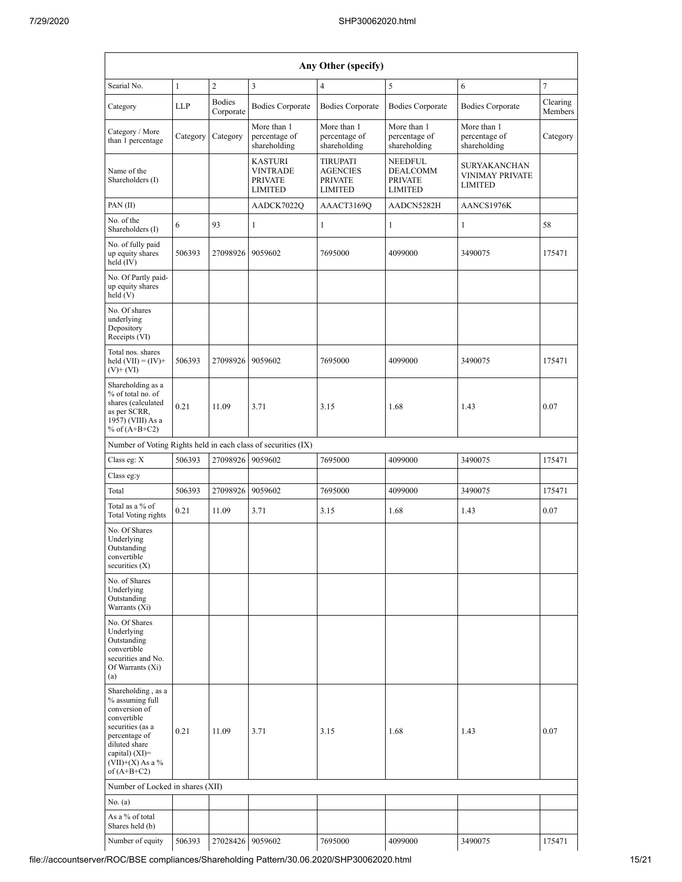|                                                                                                                                                                                      |              |                            |                                                                       | Any Other (specify)                                                    |                                                                       |                                                                 |                     |
|--------------------------------------------------------------------------------------------------------------------------------------------------------------------------------------|--------------|----------------------------|-----------------------------------------------------------------------|------------------------------------------------------------------------|-----------------------------------------------------------------------|-----------------------------------------------------------------|---------------------|
| Searial No.                                                                                                                                                                          | $\mathbf{1}$ | $\overline{c}$             | 3                                                                     | $\overline{4}$                                                         | 5                                                                     | 6                                                               | $\tau$              |
| Category                                                                                                                                                                             | <b>LLP</b>   | <b>Bodies</b><br>Corporate | <b>Bodies Corporate</b>                                               | <b>Bodies Corporate</b>                                                | <b>Bodies Corporate</b>                                               | <b>Bodies Corporate</b>                                         | Clearing<br>Members |
| Category / More<br>Category<br>than 1 percentage                                                                                                                                     |              | Category                   | More than 1<br>percentage of<br>shareholding                          | More than 1<br>percentage of<br>shareholding                           | More than 1<br>percentage of<br>shareholding                          | More than 1<br>percentage of<br>shareholding                    | Category            |
| Name of the<br>Shareholders (I)                                                                                                                                                      |              |                            | <b>KASTURI</b><br><b>VINTRADE</b><br><b>PRIVATE</b><br><b>LIMITED</b> | <b>TIRUPATI</b><br><b>AGENCIES</b><br><b>PRIVATE</b><br><b>LIMITED</b> | <b>NEEDFUL</b><br><b>DEALCOMM</b><br><b>PRIVATE</b><br><b>LIMITED</b> | <b>SURYAKANCHAN</b><br><b>VINIMAY PRIVATE</b><br><b>LIMITED</b> |                     |
| PAN(II)                                                                                                                                                                              |              |                            | AADCK7022Q                                                            | AAACT3169Q                                                             | AADCN5282H                                                            | AANCS1976K                                                      |                     |
| No. of the<br>Shareholders (I)                                                                                                                                                       | 6            | 93                         | 1                                                                     | $\mathbf{1}$                                                           | $\mathbf{1}$                                                          | 1                                                               | 58                  |
| No. of fully paid<br>up equity shares<br>held (IV)                                                                                                                                   | 506393       | 27098926                   | 9059602                                                               | 7695000                                                                | 4099000                                                               | 3490075                                                         | 175471              |
| No. Of Partly paid-<br>up equity shares<br>held(V)                                                                                                                                   |              |                            |                                                                       |                                                                        |                                                                       |                                                                 |                     |
| No. Of shares<br>underlying<br>Depository<br>Receipts (VI)                                                                                                                           |              |                            |                                                                       |                                                                        |                                                                       |                                                                 |                     |
| Total nos. shares<br>held $(VII) = (IV) +$<br>(V)+ (VI)                                                                                                                              | 506393       | 27098926                   | 9059602                                                               | 7695000                                                                | 4099000                                                               | 3490075                                                         | 175471              |
| Shareholding as a<br>% of total no. of<br>shares (calculated<br>0.21<br>as per SCRR,<br>1957) (VIII) As a<br>% of $(A+B+C2)$                                                         |              | 11.09                      | 3.71                                                                  | 3.15                                                                   | 1.68                                                                  | 1.43                                                            | 0.07                |
|                                                                                                                                                                                      |              |                            | Number of Voting Rights held in each class of securities (IX)         |                                                                        |                                                                       |                                                                 |                     |
| Class eg: X                                                                                                                                                                          | 506393       | 27098926                   | 9059602                                                               | 7695000                                                                | 4099000                                                               | 3490075                                                         | 175471              |
| Class eg:y                                                                                                                                                                           |              |                            |                                                                       |                                                                        |                                                                       |                                                                 |                     |
| Total                                                                                                                                                                                | 506393       | 27098926                   | 9059602                                                               | 7695000                                                                | 4099000                                                               | 3490075                                                         | 175471              |
| Total as a % of<br><b>Total Voting rights</b>                                                                                                                                        | 0.21         | 11.09                      | 3.71                                                                  | 3.15                                                                   | 1.68                                                                  | 1.43                                                            | 0.07                |
| No. Of Shares<br>Underlying<br>Outstanding<br>convertible<br>securities $(X)$                                                                                                        |              |                            |                                                                       |                                                                        |                                                                       |                                                                 |                     |
| No. of Shares<br>Underlying<br>Outstanding<br>Warrants (Xi)                                                                                                                          |              |                            |                                                                       |                                                                        |                                                                       |                                                                 |                     |
| No. Of Shares<br>Underlying<br>Outstanding<br>convertible<br>securities and No.<br>Of Warrants (Xi)<br>(a)                                                                           |              |                            |                                                                       |                                                                        |                                                                       |                                                                 |                     |
| Shareholding, as a<br>% assuming full<br>conversion of<br>convertible<br>securities (as a<br>percentage of<br>diluted share<br>capital) (XI)=<br>$(VII)+(X)$ As a %<br>of $(A+B+C2)$ | 0.21         | 11.09                      | 3.71                                                                  | 3.15                                                                   | 1.68                                                                  | 1.43                                                            | 0.07                |
| Number of Locked in shares (XII)                                                                                                                                                     |              |                            |                                                                       |                                                                        |                                                                       |                                                                 |                     |
| No. (a)                                                                                                                                                                              |              |                            |                                                                       |                                                                        |                                                                       |                                                                 |                     |
| As a % of total<br>Shares held (b)                                                                                                                                                   |              |                            |                                                                       |                                                                        |                                                                       |                                                                 |                     |
| Number of equity                                                                                                                                                                     | 506393       | 27028426 9059602           |                                                                       | 7695000                                                                | 4099000                                                               | 3490075                                                         | 175471              |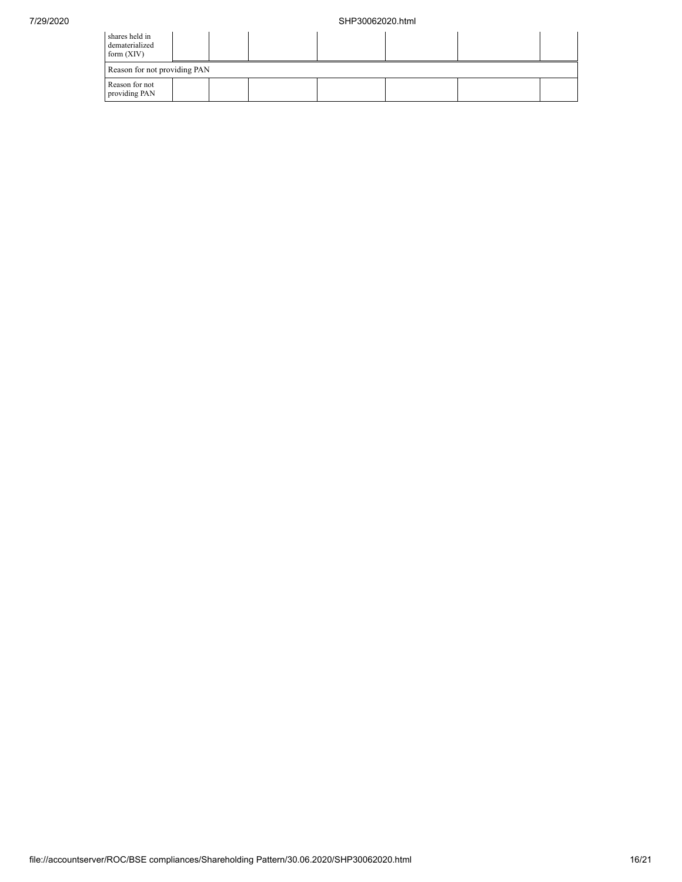| shares held in<br>dematerialized<br>form $(XIV)$ |  |  |  |  |  |  |  |  |  |  |
|--------------------------------------------------|--|--|--|--|--|--|--|--|--|--|
| Reason for not providing PAN                     |  |  |  |  |  |  |  |  |  |  |
| Reason for not<br>providing PAN                  |  |  |  |  |  |  |  |  |  |  |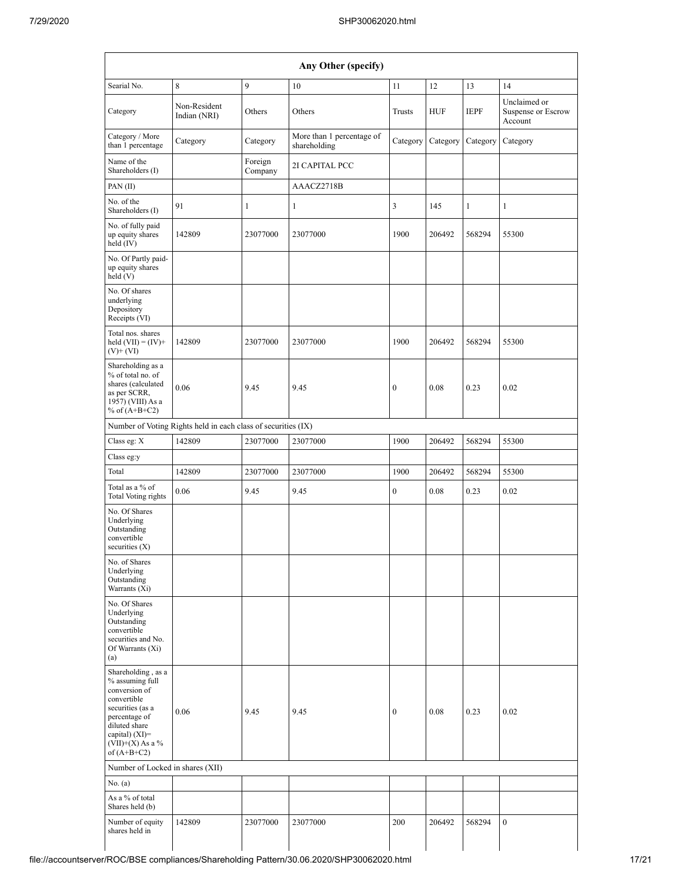| Any Other (specify)                                                                                                                                                                  |                                                               |                    |                                           |                  |            |              |                                               |  |  |  |  |
|--------------------------------------------------------------------------------------------------------------------------------------------------------------------------------------|---------------------------------------------------------------|--------------------|-------------------------------------------|------------------|------------|--------------|-----------------------------------------------|--|--|--|--|
| Searial No.                                                                                                                                                                          | $\,8\,$                                                       | 9                  | 10                                        | 11               | 12         | 13           | 14                                            |  |  |  |  |
| Category                                                                                                                                                                             | Non-Resident<br>Indian (NRI)                                  | Others             | Others                                    | Trusts           | <b>HUF</b> | <b>IEPF</b>  | Unclaimed or<br>Suspense or Escrow<br>Account |  |  |  |  |
| Category / More<br>than 1 percentage                                                                                                                                                 | Category                                                      | Category           | More than 1 percentage of<br>shareholding | Category         | Category   | Category     | Category                                      |  |  |  |  |
| Name of the<br>Shareholders (I)                                                                                                                                                      |                                                               | Foreign<br>Company | 2I CAPITAL PCC                            |                  |            |              |                                               |  |  |  |  |
| PAN (II)                                                                                                                                                                             |                                                               |                    | AAACZ2718B                                |                  |            |              |                                               |  |  |  |  |
| No. of the<br>Shareholders (I)                                                                                                                                                       | 91                                                            | 1                  | 1                                         | 3                | 145        | $\mathbf{1}$ | $\mathbf{1}$                                  |  |  |  |  |
| No. of fully paid<br>up equity shares<br>held (IV)                                                                                                                                   | 142809                                                        | 23077000           | 23077000                                  | 1900             | 206492     | 568294       | 55300                                         |  |  |  |  |
| No. Of Partly paid-<br>up equity shares<br>held (V)                                                                                                                                  |                                                               |                    |                                           |                  |            |              |                                               |  |  |  |  |
| No. Of shares<br>underlying<br>Depository<br>Receipts (VI)                                                                                                                           |                                                               |                    |                                           |                  |            |              |                                               |  |  |  |  |
| Total nos. shares<br>held $(VII) = (IV) +$<br>$(V)$ + $(VI)$                                                                                                                         | 142809                                                        | 23077000           | 23077000                                  | 1900             | 206492     | 568294       | 55300                                         |  |  |  |  |
| Shareholding as a<br>% of total no. of<br>shares (calculated<br>as per SCRR,<br>1957) (VIII) As a<br>% of $(A+B+C2)$                                                                 | 0.06                                                          | 9.45               | 9.45                                      | $\boldsymbol{0}$ | 0.08       | 0.23         | 0.02                                          |  |  |  |  |
|                                                                                                                                                                                      | Number of Voting Rights held in each class of securities (IX) |                    |                                           |                  |            |              |                                               |  |  |  |  |
| Class eg: X                                                                                                                                                                          | 142809                                                        | 23077000           | 23077000                                  | 1900             | 206492     | 568294       | 55300                                         |  |  |  |  |
| Class eg:y                                                                                                                                                                           |                                                               |                    |                                           |                  |            |              |                                               |  |  |  |  |
| Total                                                                                                                                                                                | 142809                                                        | 23077000           | 23077000                                  | 1900             | 206492     | 568294       | 55300                                         |  |  |  |  |
| Total as a % of<br>Total Voting rights                                                                                                                                               | 0.06                                                          | 9.45               | 9.45                                      | $\boldsymbol{0}$ | 0.08       | 0.23         | 0.02                                          |  |  |  |  |
| No. Of Shares<br>Underlying<br>Outstanding<br>convertible<br>securities $(X)$                                                                                                        |                                                               |                    |                                           |                  |            |              |                                               |  |  |  |  |
| No. of Shares<br>Underlying<br>Outstanding<br>Warrants (Xi)                                                                                                                          |                                                               |                    |                                           |                  |            |              |                                               |  |  |  |  |
| No. Of Shares<br>Underlying<br>Outstanding<br>convertible<br>securities and No.<br>Of Warrants (Xi)<br>(a)                                                                           |                                                               |                    |                                           |                  |            |              |                                               |  |  |  |  |
| Shareholding, as a<br>% assuming full<br>conversion of<br>convertible<br>securities (as a<br>percentage of<br>diluted share<br>capital) (XI)=<br>$(VII)+(X)$ As a %<br>of $(A+B+C2)$ | 0.06                                                          | 9.45               | 9.45                                      | $\boldsymbol{0}$ | 0.08       | 0.23         | 0.02                                          |  |  |  |  |
| Number of Locked in shares (XII)                                                                                                                                                     |                                                               |                    |                                           |                  |            |              |                                               |  |  |  |  |
| No. (a)                                                                                                                                                                              |                                                               |                    |                                           |                  |            |              |                                               |  |  |  |  |
| As a % of total<br>Shares held (b)                                                                                                                                                   |                                                               |                    |                                           |                  |            |              |                                               |  |  |  |  |
| Number of equity<br>shares held in                                                                                                                                                   | 142809                                                        | 23077000           | 23077000                                  | 200              | 206492     | 568294       | $\overline{0}$                                |  |  |  |  |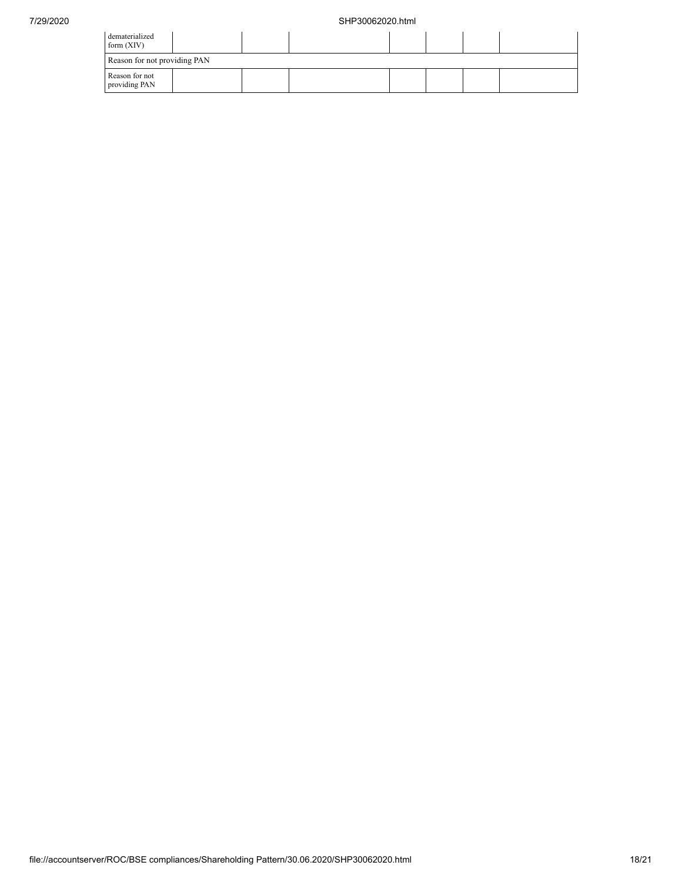| dematerialized<br>form $(XIV)$  |  |  |  |  |  |  |  |  |  |
|---------------------------------|--|--|--|--|--|--|--|--|--|
| Reason for not providing PAN    |  |  |  |  |  |  |  |  |  |
| Reason for not<br>providing PAN |  |  |  |  |  |  |  |  |  |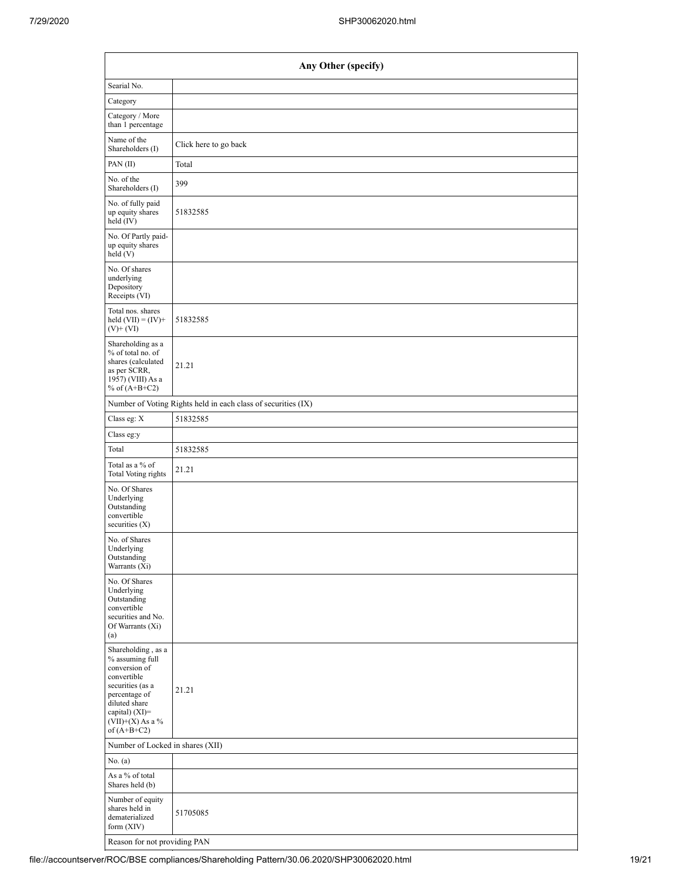|                                                                                                                                                                                                     | Any Other (specify)                                           |  |  |  |  |  |  |  |  |
|-----------------------------------------------------------------------------------------------------------------------------------------------------------------------------------------------------|---------------------------------------------------------------|--|--|--|--|--|--|--|--|
| Searial No.                                                                                                                                                                                         |                                                               |  |  |  |  |  |  |  |  |
| Category                                                                                                                                                                                            |                                                               |  |  |  |  |  |  |  |  |
| Category / More<br>than 1 percentage                                                                                                                                                                |                                                               |  |  |  |  |  |  |  |  |
| Name of the<br>Shareholders (I)                                                                                                                                                                     | Click here to go back                                         |  |  |  |  |  |  |  |  |
| PAN (II)                                                                                                                                                                                            | Total                                                         |  |  |  |  |  |  |  |  |
| No. of the<br>Shareholders (I)                                                                                                                                                                      | 399                                                           |  |  |  |  |  |  |  |  |
| No. of fully paid<br>up equity shares<br>held (IV)                                                                                                                                                  | 51832585                                                      |  |  |  |  |  |  |  |  |
| No. Of Partly paid-<br>up equity shares<br>held(V)                                                                                                                                                  |                                                               |  |  |  |  |  |  |  |  |
| No. Of shares<br>underlying<br>Depository<br>Receipts (VI)                                                                                                                                          |                                                               |  |  |  |  |  |  |  |  |
| Total nos. shares<br>held $(VII) = (IV) +$<br>$(V)$ + $(VI)$                                                                                                                                        | 51832585                                                      |  |  |  |  |  |  |  |  |
| Shareholding as a<br>% of total no. of<br>shares (calculated<br>as per SCRR,<br>1957) (VIII) As a<br>% of $(A+B+C2)$                                                                                | 21.21                                                         |  |  |  |  |  |  |  |  |
|                                                                                                                                                                                                     | Number of Voting Rights held in each class of securities (IX) |  |  |  |  |  |  |  |  |
| Class eg: X                                                                                                                                                                                         | 51832585                                                      |  |  |  |  |  |  |  |  |
| Class eg:y                                                                                                                                                                                          |                                                               |  |  |  |  |  |  |  |  |
| Total                                                                                                                                                                                               | 51832585                                                      |  |  |  |  |  |  |  |  |
| Total as a % of<br>Total Voting rights                                                                                                                                                              | 21.21                                                         |  |  |  |  |  |  |  |  |
| No. Of Shares<br>Underlying<br>Outstanding<br>convertible<br>securities $(X)$                                                                                                                       |                                                               |  |  |  |  |  |  |  |  |
| No. of Shares<br>Underlying<br>Outstanding<br>Warrants (Xi)                                                                                                                                         |                                                               |  |  |  |  |  |  |  |  |
| No. Of Shares<br>Underlying<br>Outstanding<br>convertible<br>securities and No.<br>Of Warrants (Xi)<br>(a)                                                                                          |                                                               |  |  |  |  |  |  |  |  |
| Shareholding, as a<br>% assuming full<br>conversion of<br>convertible<br>securities (as a<br>percentage of<br>diluted share<br>capital) (XI)=<br>$(\rm{VII}){+}(\rm{X})$ As a $\%$<br>of $(A+B+C2)$ | 21.21                                                         |  |  |  |  |  |  |  |  |
|                                                                                                                                                                                                     | Number of Locked in shares (XII)                              |  |  |  |  |  |  |  |  |
| No. $(a)$                                                                                                                                                                                           |                                                               |  |  |  |  |  |  |  |  |
| As a % of total<br>Shares held (b)                                                                                                                                                                  |                                                               |  |  |  |  |  |  |  |  |
| Number of equity<br>shares held in<br>dematerialized<br>form $(XIV)$                                                                                                                                | 51705085                                                      |  |  |  |  |  |  |  |  |
| Reason for not providing PAN                                                                                                                                                                        |                                                               |  |  |  |  |  |  |  |  |

 $\overline{\phantom{a}}$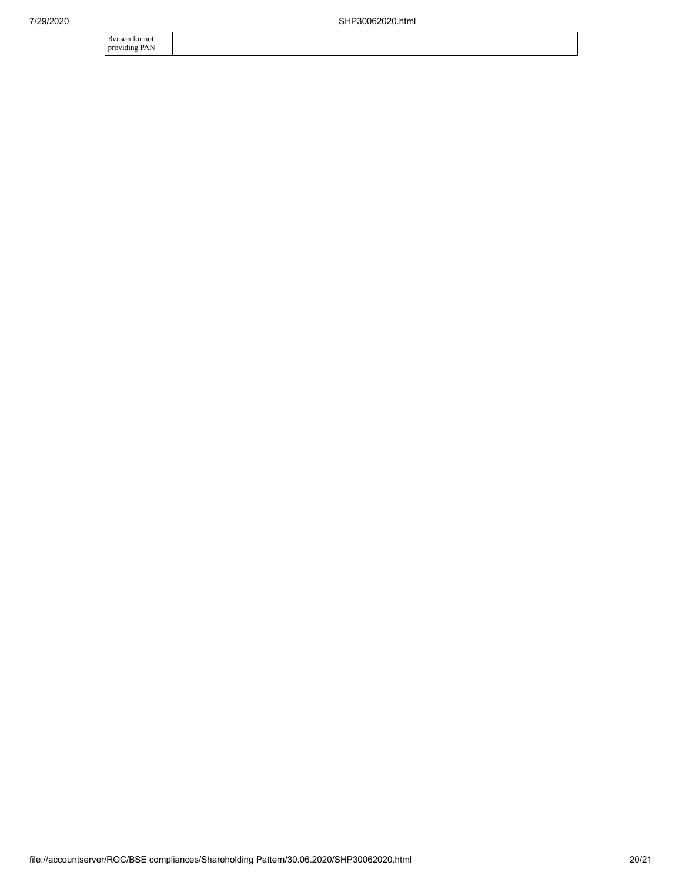Reason for not providing PAN